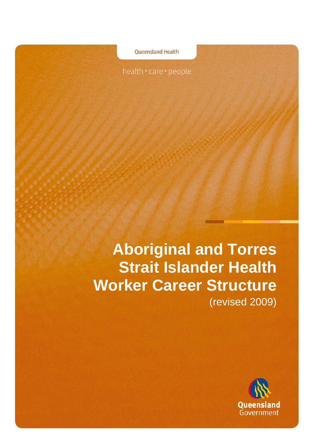health · care · people

**Oueensland Health** 

**Aboriginal and Torres Strait Islander Health Worker Career Structure** (revised 2009)

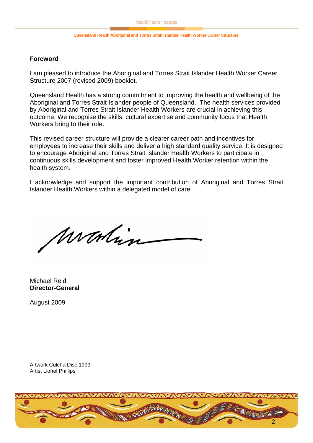#### **Foreword**

I am pleased to introduce the Aboriginal and Torres Strait Islander Health Worker Career Structure 2007 (revised 2009) booklet.

Queensland Health has a strong commitment to improving the health and wellbeing of the Aboriginal and Torres Strait Islander people of Queensland. The health services provided by Aboriginal and Torres Strait Islander Health Workers are crucial in achieving this outcome. We recognise the skills, cultural expertise and community focus that Health Workers bring to their role.

This revised career structure will provide a clearer career path and incentives for employees to increase their skills and deliver a high standard quality service. It is designed to encourage Aboriginal and Torres Strait Islander Health Workers to participate in continuous skills development and foster improved Health Worker retention within the health system.

I acknowledge and support the important contribution of Aboriginal and Torres Strait Islander Health Workers within a delegated model of care.

montin

Michael Reid **Director-General** 

August 2009

Artwork Culcha Disc 1999 Artist Lionel Phillips

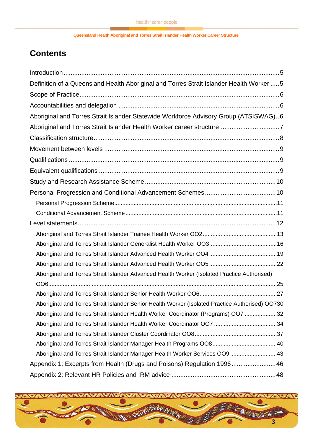# **Contents**

| Definition of a Queensland Health Aboriginal and Torres Strait Islander Health Worker  5        |  |
|-------------------------------------------------------------------------------------------------|--|
|                                                                                                 |  |
|                                                                                                 |  |
| Aboriginal and Torres Strait Islander Statewide Workforce Advisory Group (ATSISWAG)6            |  |
| Aboriginal and Torres Strait Islander Health Worker career structure7                           |  |
|                                                                                                 |  |
|                                                                                                 |  |
|                                                                                                 |  |
|                                                                                                 |  |
|                                                                                                 |  |
|                                                                                                 |  |
|                                                                                                 |  |
|                                                                                                 |  |
|                                                                                                 |  |
|                                                                                                 |  |
|                                                                                                 |  |
|                                                                                                 |  |
|                                                                                                 |  |
| Aboriginal and Torres Strait Islander Advanced Health Worker (Isolated Practice Authorised)     |  |
|                                                                                                 |  |
|                                                                                                 |  |
| Aboriginal and Torres Strait Islander Senior Health Worker (Isolated Practice Authorised) OO730 |  |
| Aboriginal and Torres Strait Islander Health Worker Coordinator (Programs) OO7 32               |  |
|                                                                                                 |  |
|                                                                                                 |  |
|                                                                                                 |  |
| Aboriginal and Torres Strait Islander Manager Health Worker Services OO943                      |  |
| Appendix 1: Excerpts from Health (Drugs and Poisons) Regulation 199646                          |  |
|                                                                                                 |  |

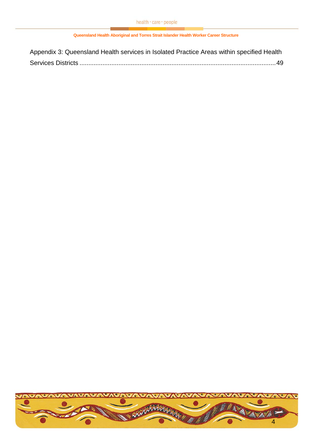| Appendix 3: Queensland Health services in Isolated Practice Areas within specified Health |  |
|-------------------------------------------------------------------------------------------|--|
|                                                                                           |  |

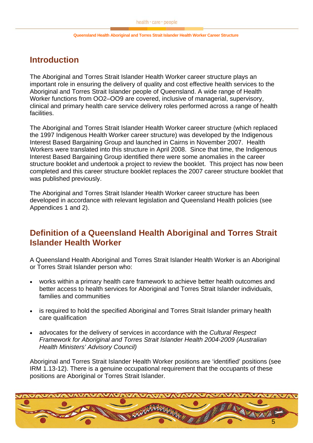# <span id="page-4-0"></span>**Introduction**

The Aboriginal and Torres Strait Islander Health Worker career structure plays an important role in ensuring the delivery of quality and cost effective health services to the Aboriginal and Torres Strait Islander people of Queensland. A wide range of Health Worker functions from OO2–OO9 are covered, inclusive of managerial, supervisory, clinical and primary health care service delivery roles performed across a range of health facilities.

The Aboriginal and Torres Strait Islander Health Worker career structure (which replaced the 1997 Indigenous Health Worker career structure) was developed by the Indigenous Interest Based Bargaining Group and launched in Cairns in November 2007. Health Workers were translated into this structure in April 2008. Since that time, the Indigenous Interest Based Bargaining Group identified there were some anomalies in the career structure booklet and undertook a project to review the booklet. This project has now been completed and this career structure booklet replaces the 2007 career structure booklet that was published previously.

The Aboriginal and Torres Strait Islander Health Worker career structure has been developed in accordance with relevant legislation and Queensland Health policies (see Appendices 1 and 2).

# **Definition of a Queensland Health Aboriginal and Torres Strait Islander Health Worker**

A Queensland Health Aboriginal and Torres Strait Islander Health Worker is an Aboriginal or Torres Strait Islander person who:

- works within a primary health care framework to achieve better health outcomes and better access to health services for Aboriginal and Torres Strait Islander individuals, families and communities
- is required to hold the specified Aboriginal and Torres Strait Islander primary health care qualification
- advocates for the delivery of services in accordance with the *Cultural Respect Framework for Aboriginal and Torres Strait Islander Health 2004-2009 (Australian Health Ministers' Advisory Council)*

Aboriginal and Torres Strait Islander Health Worker positions are 'identified' positions (see IRM 1.13-12). There is a genuine occupational requirement that the occupants of these positions are Aboriginal or Torres Strait Islander.

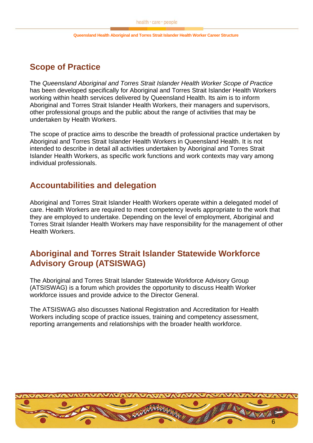# <span id="page-5-0"></span>**Scope of Practice**

The *Queensland Aboriginal and Torres Strait Islander Health Worker Scope of Practice* has been developed specifically for Aboriginal and Torres Strait Islander Health Workers working within health services delivered by Queensland Health. Its aim is to inform Aboriginal and Torres Strait Islander Health Workers, their managers and supervisors, other professional groups and the public about the range of activities that may be undertaken by Health Workers.

The scope of practice aims to describe the breadth of professional practice undertaken by Aboriginal and Torres Strait Islander Health Workers in Queensland Health. It is not intended to describe in detail all activities undertaken by Aboriginal and Torres Strait Islander Health Workers, as specific work functions and work contexts may vary among individual professionals.

# **Accountabilities and delegation**

Aboriginal and Torres Strait Islander Health Workers operate within a delegated model of care. Health Workers are required to meet competency levels appropriate to the work that they are employed to undertake. Depending on the level of employment, Aboriginal and Torres Strait Islander Health Workers may have responsibility for the management of other Health Workers.

# **Aboriginal and Torres Strait Islander Statewide Workforce Advisory Group (ATSISWAG)**

The Aboriginal and Torres Strait Islander Statewide Workforce Advisory Group (ATSISWAG) is a forum which provides the opportunity to discuss Health Worker workforce issues and provide advice to the Director General.

The ATSISWAG also discusses National Registration and Accreditation for Health Workers including scope of practice issues, training and competency assessment, reporting arrangements and relationships with the broader health workforce.

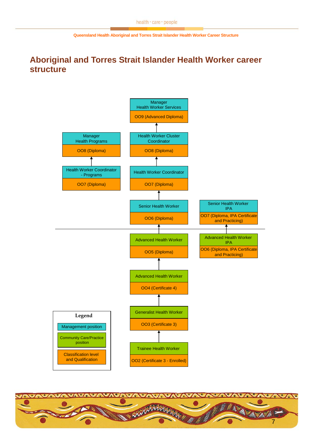# <span id="page-6-0"></span>**Aboriginal and Torres Strait Islander Health Worker career structure**



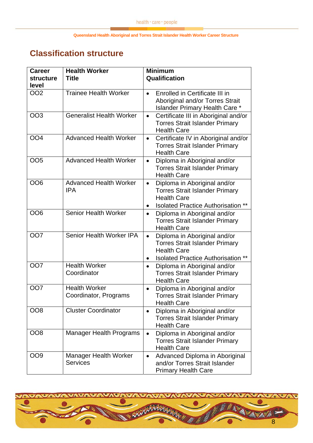# <span id="page-7-0"></span>**Classification structure**

| <b>Career</b><br><b>structure</b><br>level | <b>Health Worker</b><br><b>Title</b>            | <b>Minimum</b><br>Qualification                                                                                                                                       |
|--------------------------------------------|-------------------------------------------------|-----------------------------------------------------------------------------------------------------------------------------------------------------------------------|
| <b>OO2</b>                                 | <b>Trainee Health Worker</b>                    | Enrolled in Certificate III in<br>$\bullet$<br>Aboriginal and/or Torres Strait<br><b>Islander Primary Health Care *</b>                                               |
| <b>OO3</b>                                 | <b>Generalist Health Worker</b>                 | Certificate III in Aboriginal and/or<br>$\bullet$<br><b>Torres Strait Islander Primary</b><br><b>Health Care</b>                                                      |
| OO <sub>4</sub>                            | <b>Advanced Health Worker</b>                   | Certificate IV in Aboriginal and/or<br>$\bullet$<br><b>Torres Strait Islander Primary</b><br><b>Health Care</b>                                                       |
| <b>OO5</b>                                 | <b>Advanced Health Worker</b>                   | Diploma in Aboriginal and/or<br>$\bullet$<br><b>Torres Strait Islander Primary</b><br><b>Health Care</b>                                                              |
| OO <sub>6</sub>                            | <b>Advanced Health Worker</b><br><b>IPA</b>     | Diploma in Aboriginal and/or<br>$\bullet$<br><b>Torres Strait Islander Primary</b><br><b>Health Care</b><br><b>Isolated Practice Authorisation</b>                    |
| OO6                                        | <b>Senior Health Worker</b>                     | Diploma in Aboriginal and/or<br>$\bullet$<br><b>Torres Strait Islander Primary</b><br><b>Health Care</b>                                                              |
| OO <sub>2</sub>                            | Senior Health Worker IPA                        | Diploma in Aboriginal and/or<br>$\bullet$<br><b>Torres Strait Islander Primary</b><br><b>Health Care</b><br><b>Isolated Practice Authorisation</b><br>**<br>$\bullet$ |
| <b>OO7</b>                                 | <b>Health Worker</b><br>Coordinator             | Diploma in Aboriginal and/or<br>$\bullet$<br><b>Torres Strait Islander Primary</b><br><b>Health Care</b>                                                              |
| <b>OO7</b>                                 | <b>Health Worker</b><br>Coordinator, Programs   | Diploma in Aboriginal and/or<br>$\bullet$<br><b>Torres Strait Islander Primary</b><br><b>Health Care</b>                                                              |
| <b>OO8</b>                                 | <b>Cluster Coordinator</b>                      | Diploma in Aboriginal and/or<br>$\bullet$<br><b>Torres Strait Islander Primary</b><br><b>Health Care</b>                                                              |
| OO <sub>8</sub>                            | <b>Manager Health Programs</b>                  | Diploma in Aboriginal and/or<br>$\bullet$<br><b>Torres Strait Islander Primary</b><br><b>Health Care</b>                                                              |
| OO9                                        | <b>Manager Health Worker</b><br><b>Services</b> | Advanced Diploma in Aboriginal<br>$\bullet$<br>and/or Torres Strait Islander<br><b>Primary Health Care</b>                                                            |

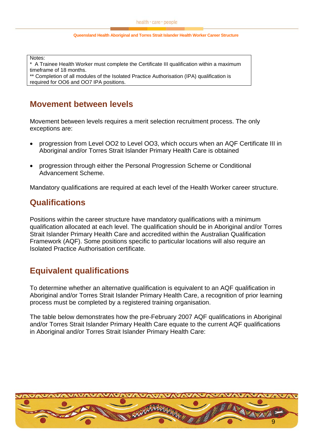<span id="page-8-0"></span>Notes:

\* A Trainee Health Worker must complete the Certificate III qualification within a maximum timeframe of 18 months.

\*\* Completion of all modules of the Isolated Practice Authorisation (IPA) qualification is required for OO6 and OO7 IPA positions.

# **Movement between levels**

Movement between levels requires a merit selection recruitment process. The only exceptions are:

- progression from Level OO2 to Level OO3, which occurs when an AQF Certificate III in Aboriginal and/or Torres Strait Islander Primary Health Care is obtained
- progression through either the Personal Progression Scheme or Conditional Advancement Scheme.

Mandatory qualifications are required at each level of the Health Worker career structure.

# **Qualifications**

Positions within the career structure have mandatory qualifications with a minimum qualification allocated at each level. The qualification should be in Aboriginal and/or Torres Strait Islander Primary Health Care and accredited within the Australian Qualification Framework (AQF). Some positions specific to particular locations will also require an Isolated Practice Authorisation certificate.

# **Equivalent qualifications**

To determine whether an alternative qualification is equivalent to an AQF qualification in Aboriginal and/or Torres Strait Islander Primary Health Care, a recognition of prior learning process must be completed by a registered training organisation.

The table below demonstrates how the pre-February 2007 AQF qualifications in Aboriginal and/or Torres Strait Islander Primary Health Care equate to the current AQF qualifications in Aboriginal and/or Torres Strait Islander Primary Health Care:

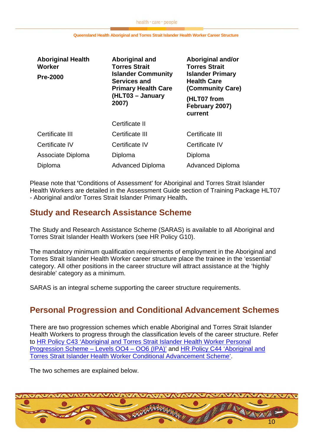<span id="page-9-0"></span>

| <b>Aboriginal Health</b><br><b>Worker</b> | Aboriginal and<br><b>Torres Strait</b>                                         | Aboriginal and/or<br><b>Torres Strait</b><br><b>Islander Primary</b><br><b>Health Care</b><br>(Community Care)<br>(HLT07 from<br>February 2007)<br>current |  |
|-------------------------------------------|--------------------------------------------------------------------------------|------------------------------------------------------------------------------------------------------------------------------------------------------------|--|
| <b>Pre-2000</b>                           | <b>Islander Community</b><br><b>Services and</b><br><b>Primary Health Care</b> |                                                                                                                                                            |  |
|                                           | (HLT03 - January<br>2007)                                                      |                                                                                                                                                            |  |
|                                           | Certificate II                                                                 |                                                                                                                                                            |  |
| Certificate III                           | Certificate III                                                                | Certificate III                                                                                                                                            |  |
| Certificate IV                            | Certificate IV                                                                 | Certificate IV                                                                                                                                             |  |
| Associate Diploma                         | Diploma                                                                        | Diploma                                                                                                                                                    |  |
| Diploma                                   | <b>Advanced Diploma</b>                                                        | <b>Advanced Diploma</b>                                                                                                                                    |  |

Please note that **'**Conditions of Assessment' for Aboriginal and Torres Strait Islander Health Workers are detailed in the Assessment Guide section of Training Package HLT07 - Aboriginal and/or Torres Strait Islander Primary Health**.** 

# **Study and Research Assistance Scheme**

The Study and Research Assistance Scheme (SARAS) is available to all Aboriginal and Torres Strait Islander Health Workers (see HR Policy G10).

The mandatory minimum qualification requirements of employment in the Aboriginal and Torres Strait Islander Health Worker career structure place the trainee in the 'essential' category. All other positions in the career structure will attract assistance at the 'highly desirable' category as a minimum.

SARAS is an integral scheme supporting the career structure requirements.

# **Personal Progression and Conditional Advancement Schemes**

There are two progression schemes which enable Aboriginal and Torres Strait Islander Health Workers to progress through the classification levels of the career structure. Refer to [HR Policy C43 'Aboriginal and Torres Strait Islander Health Worker Personal](http://www.health.qld.gov.au/hrpolicies/benefits/c_43.pdf)  [Progression Scheme – Levels OO4 – OO6 \(IPA\)'](http://www.health.qld.gov.au/hrpolicies/benefits/c_43.pdf) and [HR Policy C44 'Aboriginal and](http://www.health.qld.gov.au/hrpolicies/benefits/c_44.pdf)  [Torres Strait Islander Health Worker Conditional Advancement Scheme'.](http://www.health.qld.gov.au/hrpolicies/benefits/c_44.pdf)

The two schemes are explained below.

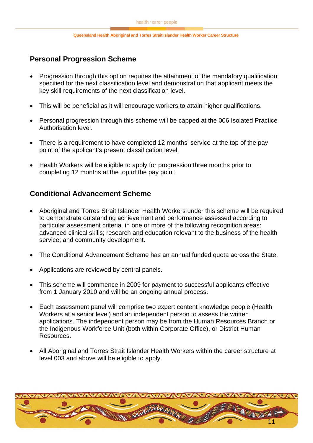## <span id="page-10-0"></span>**Personal Progression Scheme**

- Progression through this option requires the attainment of the mandatory qualification specified for the next classification level and demonstration that applicant meets the key skill requirements of the next classification level.
- This will be beneficial as it will encourage workers to attain higher qualifications.
- Personal progression through this scheme will be capped at the 006 Isolated Practice Authorisation level.
- There is a requirement to have completed 12 months' service at the top of the pay point of the applicant's present classification level.
- Health Workers will be eligible to apply for progression three months prior to completing 12 months at the top of the pay point.

## **Conditional Advancement Scheme**

- Aboriginal and Torres Strait Islander Health Workers under this scheme will be required to demonstrate outstanding achievement and performance assessed according to particular assessment criteria in one or more of the following recognition areas: advanced clinical skills; research and education relevant to the business of the health service; and community development.
- The Conditional Advancement Scheme has an annual funded quota across the State.
- Applications are reviewed by central panels.
- This scheme will commence in 2009 for payment to successful applicants effective from 1 January 2010 and will be an ongoing annual process.
- Each assessment panel will comprise two expert content knowledge people (Health Workers at a senior level) and an independent person to assess the written applications. The independent person may be from the Human Resources Branch or the Indigenous Workforce Unit (both within Corporate Office), or District Human Resources.
- All Aboriginal and Torres Strait Islander Health Workers within the career structure at level 003 and above will be eligible to apply.

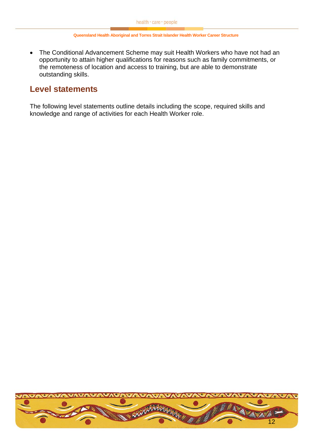<span id="page-11-0"></span>• The Conditional Advancement Scheme may suit Health Workers who have not had an opportunity to attain higher qualifications for reasons such as family commitments, or the remoteness of location and access to training, but are able to demonstrate outstanding skills.

# **Level statements**

The following level statements outline details including the scope, required skills and knowledge and range of activities for each Health Worker role.

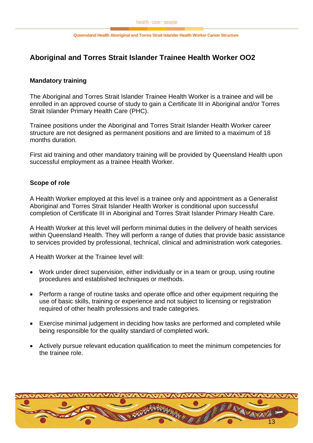## <span id="page-12-0"></span>**Aboriginal and Torres Strait Islander Trainee Health Worker OO2**

### **Mandatory training**

The Aboriginal and Torres Strait Islander Trainee Health Worker is a trainee and will be enrolled in an approved course of study to gain a Certificate III in Aboriginal and/or Torres Strait Islander Primary Health Care (PHC).

Trainee positions under the Aboriginal and Torres Strait Islander Health Worker career structure are not designed as permanent positions and are limited to a maximum of 18 months duration.

First aid training and other mandatory training will be provided by Queensland Health upon successful employment as a trainee Health Worker.

### **Scope of role**

A Health Worker employed at this level is a trainee only and appointment as a Generalist Aboriginal and Torres Strait Islander Health Worker is conditional upon successful completion of Certificate III in Aboriginal and Torres Strait Islander Primary Health Care.

A Health Worker at this level will perform minimal duties in the delivery of health services within Queensland Health. They will perform a range of duties that provide basic assistance to services provided by professional, technical, clinical and administration work categories.

A Health Worker at the Trainee level will:

- Work under direct supervision, either individually or in a team or group, using routine procedures and established techniques or methods.
- Perform a range of routine tasks and operate office and other equipment requiring the use of basic skills, training or experience and not subject to licensing or registration required of other health professions and trade categories.
- Exercise minimal judgement in deciding how tasks are performed and completed while being responsible for the quality standard of completed work.
- Actively pursue relevant education qualification to meet the minimum competencies for the trainee role.

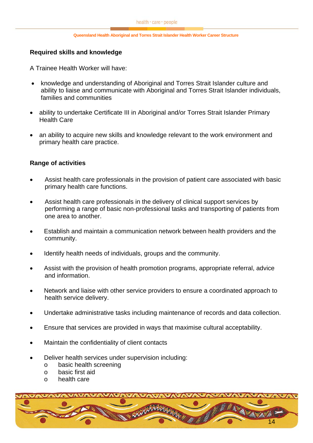### **Required skills and knowledge**

A Trainee Health Worker will have:

- knowledge and understanding of Aboriginal and Torres Strait Islander culture and ability to liaise and communicate with Aboriginal and Torres Strait Islander individuals, families and communities
- ability to undertake Certificate III in Aboriginal and/or Torres Strait Islander Primary Health Care
- an ability to acquire new skills and knowledge relevant to the work environment and primary health care practice.

### **Range of activities**

- Assist health care professionals in the provision of patient care associated with basic primary health care functions.
- Assist health care professionals in the delivery of clinical support services by performing a range of basic non-professional tasks and transporting of patients from one area to another.
- Establish and maintain a communication network between health providers and the community.
- Identify health needs of individuals, groups and the community.
- Assist with the provision of health promotion programs, appropriate referral, advice and information.
- Network and liaise with other service providers to ensure a coordinated approach to health service delivery.
- Undertake administrative tasks including maintenance of records and data collection.
- Ensure that services are provided in ways that maximise cultural acceptability.
- Maintain the confidentiality of client contacts
- Deliver health services under supervision including:
	- o basic health screening
	- o basic first aid
	- o health care

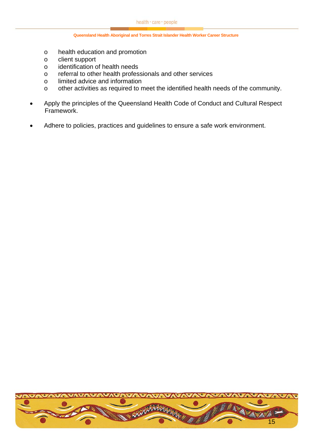- o health education and promotion
- o client support
- o identification of health needs
- o referral to other health professionals and other services
- o limited advice and information
- o other activities as required to meet the identified health needs of the community.
- Apply the principles of the Queensland Health Code of Conduct and Cultural Respect Framework.
- Adhere to policies, practices and guidelines to ensure a safe work environment.

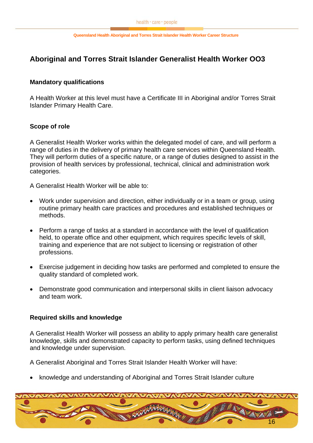## <span id="page-15-0"></span>**Aboriginal and Torres Strait Islander Generalist Health Worker OO3**

### **Mandatory qualifications**

A Health Worker at this level must have a Certificate III in Aboriginal and/or Torres Strait Islander Primary Health Care.

### **Scope of role**

A Generalist Health Worker works within the delegated model of care, and will perform a range of duties in the delivery of primary health care services within Queensland Health. They will perform duties of a specific nature, or a range of duties designed to assist in the provision of health services by professional, technical, clinical and administration work categories.

A Generalist Health Worker will be able to:

- Work under supervision and direction, either individually or in a team or group, using routine primary health care practices and procedures and established techniques or methods.
- Perform a range of tasks at a standard in accordance with the level of qualification held, to operate office and other equipment, which requires specific levels of skill, training and experience that are not subject to licensing or registration of other professions.
- Exercise judgement in deciding how tasks are performed and completed to ensure the quality standard of completed work.
- Demonstrate good communication and interpersonal skills in client liaison advocacy and team work.

### **Required skills and knowledge**

A Generalist Health Worker will possess an ability to apply primary health care generalist knowledge, skills and demonstrated capacity to perform tasks, using defined techniques and knowledge under supervision.

A Generalist Aboriginal and Torres Strait Islander Health Worker will have:

• knowledge and understanding of Aboriginal and Torres Strait Islander culture

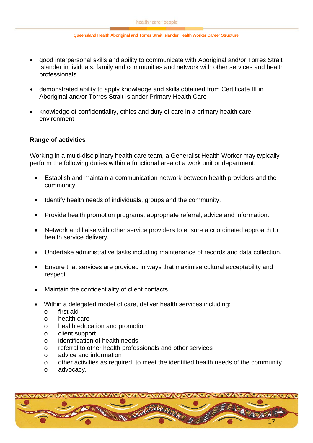- good interpersonal skills and ability to communicate with Aboriginal and/or Torres Strait Islander individuals, family and communities and network with other services and health professionals
- demonstrated ability to apply knowledge and skills obtained from Certificate III in Aboriginal and/or Torres Strait Islander Primary Health Care
- knowledge of confidentiality, ethics and duty of care in a primary health care environment

### **Range of activities**

Working in a multi-disciplinary health care team, a Generalist Health Worker may typically perform the following duties within a functional area of a work unit or department:

- Establish and maintain a communication network between health providers and the community.
- Identify health needs of individuals, groups and the community.
- Provide health promotion programs, appropriate referral, advice and information.
- Network and liaise with other service providers to ensure a coordinated approach to health service delivery.
- Undertake administrative tasks including maintenance of records and data collection.
- Ensure that services are provided in ways that maximise cultural acceptability and respect.
- Maintain the confidentiality of client contacts.
- Within a delegated model of care, deliver health services including:
	- o first aid
	- o health care
	- o health education and promotion
	- o client support
	- o identification of health needs
	- o referral to other health professionals and other services
	- o advice and information
	- o other activities as required, to meet the identified health needs of the community
	- o advocacy.

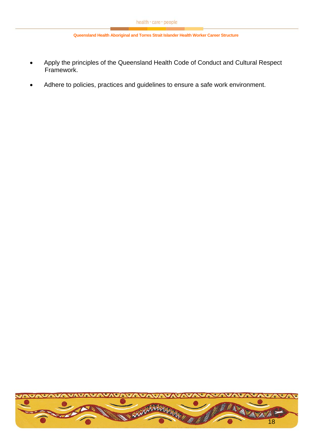- Apply the principles of the Queensland Health Code of Conduct and Cultural Respect Framework.
- Adhere to policies, practices and guidelines to ensure a safe work environment.

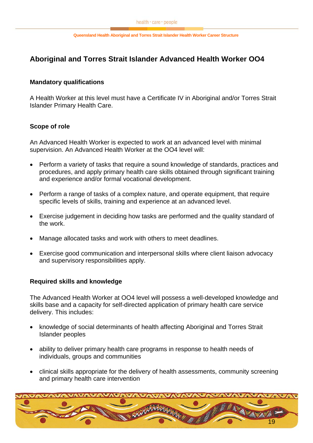## <span id="page-18-0"></span>**Aboriginal and Torres Strait Islander Advanced Health Worker OO4**

### **Mandatory qualifications**

A Health Worker at this level must have a Certificate IV in Aboriginal and/or Torres Strait Islander Primary Health Care.

### **Scope of role**

An Advanced Health Worker is expected to work at an advanced level with minimal supervision. An Advanced Health Worker at the OO4 level will:

- Perform a variety of tasks that require a sound knowledge of standards, practices and procedures, and apply primary health care skills obtained through significant training and experience and/or formal vocational development.
- Perform a range of tasks of a complex nature, and operate equipment, that require specific levels of skills, training and experience at an advanced level.
- Exercise judgement in deciding how tasks are performed and the quality standard of the work.
- Manage allocated tasks and work with others to meet deadlines.
- Exercise good communication and interpersonal skills where client liaison advocacy and supervisory responsibilities apply.

### **Required skills and knowledge**

The Advanced Health Worker at OO4 level will possess a well-developed knowledge and skills base and a capacity for self-directed application of primary health care service delivery. This includes:

- knowledge of social determinants of health affecting Aboriginal and Torres Strait Islander peoples
- ability to deliver primary health care programs in response to health needs of individuals, groups and communities
- clinical skills appropriate for the delivery of health assessments, community screening and primary health care intervention

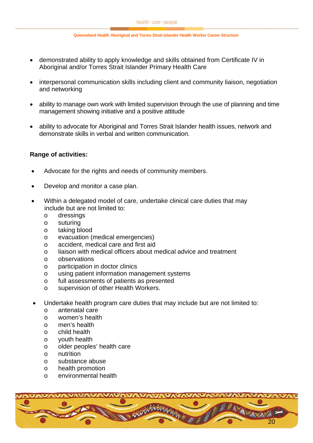- demonstrated ability to apply knowledge and skills obtained from Certificate IV in Aboriginal and/or Torres Strait Islander Primary Health Care
- interpersonal communication skills including client and community liaison, negotiation and networking
- ability to manage own work with limited supervision through the use of planning and time management showing initiative and a positive attitude
- ability to advocate for Aboriginal and Torres Strait Islander health issues, network and demonstrate skills in verbal and written communication.

### **Range of activities:**

- Advocate for the rights and needs of community members.
- Develop and monitor a case plan.
- Within a delegated model of care, undertake clinical care duties that may include but are not limited to:
	- o dressings
	- o suturing
	- o taking blood
	- o evacuation (medical emergencies)
	- o accident, medical care and first aid
	- o liaison with medical officers about medical advice and treatment
	- o observations
	- o participation in doctor clinics
	- o using patient information management systems
	- o full assessments of patients as presented
	- o supervision of other Health Workers.
- Undertake health program care duties that may include but are not limited to:
	- o antenatal care
	- o women's health
	- o men's health
	- o child health
	- o youth health
	- o older peoples' health care
	- o nutrition
	- o substance abuse
	- o health promotion
	- o environmental health

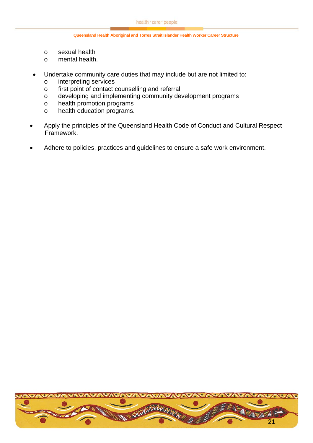- o sexual health
- o mental health.
- Undertake community care duties that may include but are not limited to:
	- o interpreting services
	- o first point of contact counselling and referral
	- o developing and implementing community development programs
	- o health promotion programs
	- o health education programs.
- Apply the principles of the Queensland Health Code of Conduct and Cultural Respect Framework.
- Adhere to policies, practices and quidelines to ensure a safe work environment.

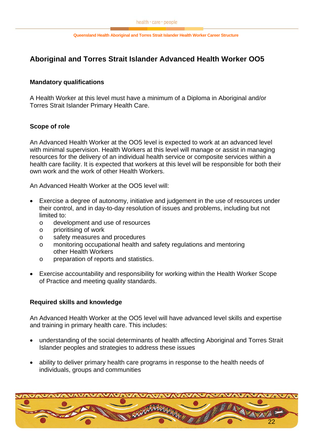## <span id="page-21-0"></span>**Aboriginal and Torres Strait Islander Advanced Health Worker OO5**

### **Mandatory qualifications**

A Health Worker at this level must have a minimum of a Diploma in Aboriginal and/or Torres Strait Islander Primary Health Care.

### **Scope of role**

An Advanced Health Worker at the OO5 level is expected to work at an advanced level with minimal supervision. Health Workers at this level will manage or assist in managing resources for the delivery of an individual health service or composite services within a health care facility. It is expected that workers at this level will be responsible for both their own work and the work of other Health Workers.

An Advanced Health Worker at the OO5 level will:

- Exercise a degree of autonomy, initiative and judgement in the use of resources under their control, and in day-to-day resolution of issues and problems, including but not limited to:
	- o development and use of resources
	- o prioritising of work
	- o safety measures and procedures
	- o monitoring occupational health and safety regulations and mentoring other Health Workers
	- o preparation of reports and statistics.
- Exercise accountability and responsibility for working within the Health Worker Scope of Practice and meeting quality standards.

### **Required skills and knowledge**

An Advanced Health Worker at the OO5 level will have advanced level skills and expertise and training in primary health care. This includes:

- understanding of the social determinants of health affecting Aboriginal and Torres Strait Islander peoples and strategies to address these issues
- ability to deliver primary health care programs in response to the health needs of individuals, groups and communities

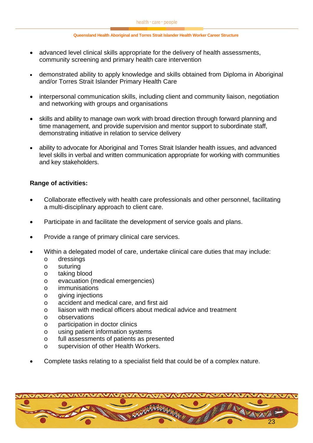- advanced level clinical skills appropriate for the delivery of health assessments, community screening and primary health care intervention
- demonstrated ability to apply knowledge and skills obtained from Diploma in Aboriginal and/or Torres Strait Islander Primary Health Care
- interpersonal communication skills, including client and community liaison, negotiation and networking with groups and organisations
- skills and ability to manage own work with broad direction through forward planning and time management, and provide supervision and mentor support to subordinate staff, demonstrating initiative in relation to service delivery
- ability to advocate for Aboriginal and Torres Strait Islander health issues, and advanced level skills in verbal and written communication appropriate for working with communities and key stakeholders.

### **Range of activities:**

- Collaborate effectively with health care professionals and other personnel, facilitating a multi-disciplinary approach to client care.
- Participate in and facilitate the development of service goals and plans.
- Provide a range of primary clinical care services.
- Within a delegated model of care, undertake clinical care duties that may include:
	- o dressings
	- o suturing
	- o taking blood
	- o evacuation (medical emergencies)
	- o immunisations
	- o giving injections
	- o accident and medical care, and first aid
	- o liaison with medical officers about medical advice and treatment
	- o observations
	- o participation in doctor clinics
	- o using patient information systems
	- o full assessments of patients as presented
	- o supervision of other Health Workers.
- Complete tasks relating to a specialist field that could be of a complex nature.

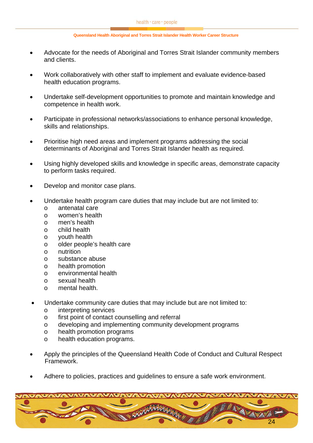- Advocate for the needs of Aboriginal and Torres Strait Islander community members and clients.
- Work collaboratively with other staff to implement and evaluate evidence-based health education programs.
- Undertake self-development opportunities to promote and maintain knowledge and competence in health work.
- Participate in professional networks/associations to enhance personal knowledge, skills and relationships.
- Prioritise high need areas and implement programs addressing the social determinants of Aboriginal and Torres Strait Islander health as required.
- Using highly developed skills and knowledge in specific areas, demonstrate capacity to perform tasks required.
- Develop and monitor case plans.
- Undertake health program care duties that may include but are not limited to:
	- o antenatal care
	- o women's health
	- o men's health
	- o child health
	- o youth health
	- o older people's health care
	- $\circ$  nutrition
	- o substance abuse
	- o health promotion
	- o environmental health
	- o sexual health
	- o mental health.
- Undertake community care duties that may include but are not limited to:
	- o interpreting services
	- o first point of contact counselling and referral
	- o developing and implementing community development programs
	- o health promotion programs
	- o health education programs.
- Apply the principles of the Queensland Health Code of Conduct and Cultural Respect Framework.
- Adhere to policies, practices and quidelines to ensure a safe work environment.

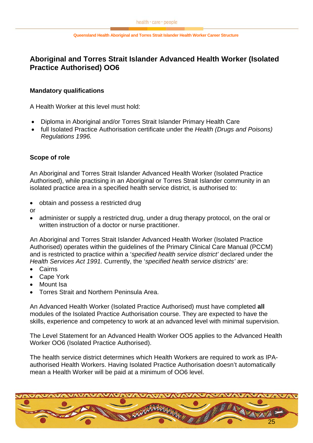# <span id="page-24-0"></span>**Aboriginal and Torres Strait Islander Advanced Health Worker (Isolated Practice Authorised) OO6**

### **Mandatory qualifications**

A Health Worker at this level must hold:

- Diploma in Aboriginal and/or Torres Strait Islander Primary Health Care
- full Isolated Practice Authorisation certificate under the *Health (Drugs and Poisons) Regulations 1996.*

### **Scope of role**

An Aboriginal and Torres Strait Islander Advanced Health Worker (Isolated Practice Authorised), while practising in an Aboriginal or Torres Strait Islander community in an isolated practice area in a specified health service district, is authorised to:

- obtain and possess a restricted drug
- or
- administer or supply a restricted drug, under a drug therapy protocol, on the oral or written instruction of a doctor or nurse practitioner.

An Aboriginal and Torres Strait Islander Advanced Health Worker (Isolated Practice Authorised) operates within the guidelines of the Primary Clinical Care Manual (PCCM) and is restricted to practice within a '*specified health service district'* declared under the *Health Services Act 1991.* Currently, the '*specified health service districts'* are:

- Cairns
- Cape York
- Mount Isa
- Torres Strait and Northern Peninsula Area.

An Advanced Health Worker (Isolated Practice Authorised) must have completed **all** modules of the Isolated Practice Authorisation course. They are expected to have the skills, experience and competency to work at an advanced level with minimal supervision.

The Level Statement for an Advanced Health Worker OO5 applies to the Advanced Health Worker OO6 (Isolated Practice Authorised).

The health service district determines which Health Workers are required to work as IPAauthorised Health Workers. Having Isolated Practice Authorisation doesn't automatically mean a Health Worker will be paid at a minimum of OO6 level.

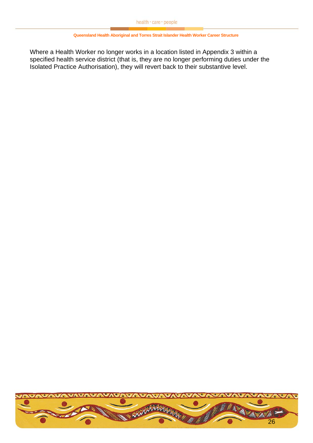Where a Health Worker no longer works in a location listed in Appendix 3 within a specified health service district (that is, they are no longer performing duties under the Isolated Practice Authorisation), they will revert back to their substantive level.

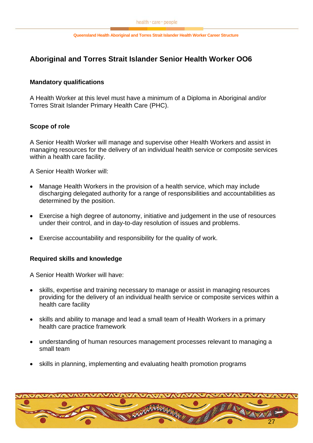## <span id="page-26-0"></span>**Aboriginal and Torres Strait Islander Senior Health Worker OO6**

### **Mandatory qualifications**

A Health Worker at this level must have a minimum of a Diploma in Aboriginal and/or Torres Strait Islander Primary Health Care (PHC).

### **Scope of role**

A Senior Health Worker will manage and supervise other Health Workers and assist in managing resources for the delivery of an individual health service or composite services within a health care facility.

A Senior Health Worker will:

- Manage Health Workers in the provision of a health service, which may include discharging delegated authority for a range of responsibilities and accountabilities as determined by the position.
- Exercise a high degree of autonomy, initiative and judgement in the use of resources under their control, and in day-to-day resolution of issues and problems.
- Exercise accountability and responsibility for the quality of work.

### **Required skills and knowledge**

A Senior Health Worker will have:

- skills, expertise and training necessary to manage or assist in managing resources providing for the delivery of an individual health service or composite services within a health care facility
- skills and ability to manage and lead a small team of Health Workers in a primary health care practice framework
- understanding of human resources management processes relevant to managing a small team
- skills in planning, implementing and evaluating health promotion programs

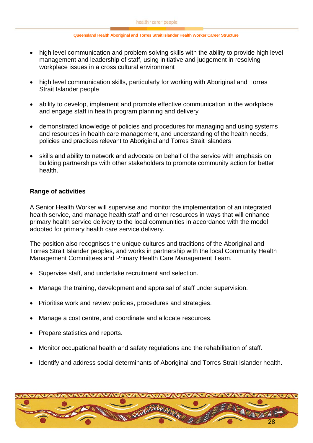- high level communication and problem solving skills with the ability to provide high level management and leadership of staff, using initiative and judgement in resolving workplace issues in a cross cultural environment
- high level communication skills, particularly for working with Aboriginal and Torres Strait Islander people
- ability to develop, implement and promote effective communication in the workplace and engage staff in health program planning and delivery
- demonstrated knowledge of policies and procedures for managing and using systems and resources in health care management, and understanding of the health needs, policies and practices relevant to Aboriginal and Torres Strait Islanders
- skills and ability to network and advocate on behalf of the service with emphasis on building partnerships with other stakeholders to promote community action for better health.

### **Range of activities**

A Senior Health Worker will supervise and monitor the implementation of an integrated health service, and manage health staff and other resources in ways that will enhance primary health service delivery to the local communities in accordance with the model adopted for primary health care service delivery.

The position also recognises the unique cultures and traditions of the Aboriginal and Torres Strait Islander peoples, and works in partnership with the local Community Health Management Committees and Primary Health Care Management Team.

- Supervise staff, and undertake recruitment and selection.
- Manage the training, development and appraisal of staff under supervision.
- Prioritise work and review policies, procedures and strategies.
- Manage a cost centre, and coordinate and allocate resources.
- Prepare statistics and reports.
- Monitor occupational health and safety regulations and the rehabilitation of staff.
- Identify and address social determinants of Aboriginal and Torres Strait Islander health.

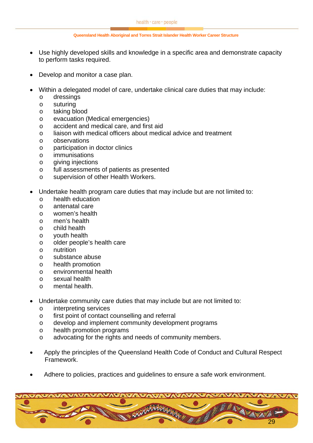- Use highly developed skills and knowledge in a specific area and demonstrate capacity to perform tasks required.
- Develop and monitor a case plan.
- Within a delegated model of care, undertake clinical care duties that may include:
	- o dressings
	- o suturing
	- o taking blood
	- o evacuation (Medical emergencies)
	- o accident and medical care, and first aid
	- o liaison with medical officers about medical advice and treatment
	- o observations
	- o participation in doctor clinics
	- o immunisations
	- o giving injections
	- o full assessments of patients as presented
	- o supervision of other Health Workers.
- Undertake health program care duties that may include but are not limited to:
	- o health education
	- o antenatal care
	- o women's health
	- o men's health
	- o child health
	- o youth health
	- o older people's health care
	- o nutrition
	- o substance abuse
	- o health promotion
	- o environmental health
	- o sexual health
	- o mental health.
- Undertake community care duties that may include but are not limited to:
	- o interpreting services
	- o first point of contact counselling and referral
	- o develop and implement community development programs
	- o health promotion programs
	- o advocating for the rights and needs of community members.
- Apply the principles of the Queensland Health Code of Conduct and Cultural Respect Framework.
- Adhere to policies, practices and guidelines to ensure a safe work environment.

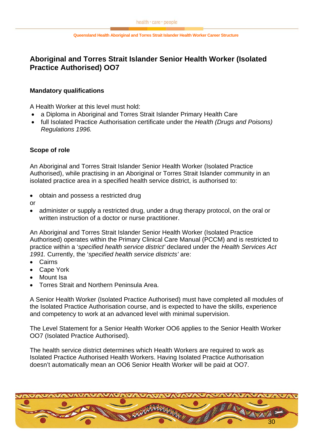# <span id="page-29-0"></span>**Aboriginal and Torres Strait Islander Senior Health Worker (Isolated Practice Authorised) OO7**

### **Mandatory qualifications**

A Health Worker at this level must hold:

- a Diploma in Aboriginal and Torres Strait Islander Primary Health Care
- full Isolated Practice Authorisation certificate under the *Health (Drugs and Poisons) Regulations 1996.*

### **Scope of role**

An Aboriginal and Torres Strait Islander Senior Health Worker (Isolated Practice Authorised), while practising in an Aboriginal or Torres Strait Islander community in an isolated practice area in a specified health service district, is authorised to:

- obtain and possess a restricted drug
- or
- administer or supply a restricted drug, under a drug therapy protocol, on the oral or written instruction of a doctor or nurse practitioner.

An Aboriginal and Torres Strait Islander Senior Health Worker (Isolated Practice Authorised) operates within the Primary Clinical Care Manual (PCCM) and is restricted to practice within a '*specified health service district'* declared under the *Health Services Act 1991.* Currently, the '*specified health service districts'* are:

- Cairns
- Cape York
- Mount Isa
- Torres Strait and Northern Peninsula Area.

A Senior Health Worker (Isolated Practice Authorised) must have completed all modules of the Isolated Practice Authorisation course, and is expected to have the skills, experience and competency to work at an advanced level with minimal supervision.

The Level Statement for a Senior Health Worker OO6 applies to the Senior Health Worker OO7 (Isolated Practice Authorised).

The health service district determines which Health Workers are required to work as Isolated Practice Authorised Health Workers. Having Isolated Practice Authorisation doesn't automatically mean an OO6 Senior Health Worker will be paid at OO7.

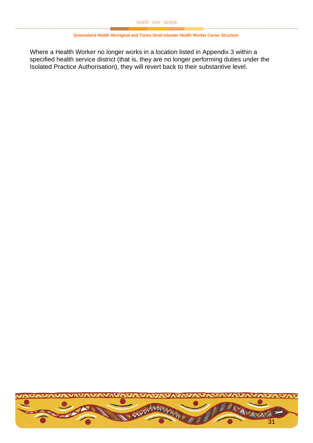Where a Health Worker no longer works in a location listed in Appendix 3 within a specified health service district (that is, they are no longer performing duties under the Isolated Practice Authorisation), they will revert back to their substantive level.

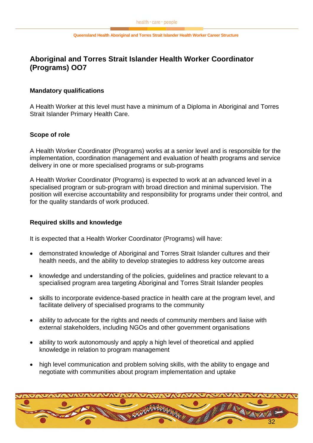## <span id="page-31-0"></span>**Aboriginal and Torres Strait Islander Health Worker Coordinator (Programs) OO7**

### **Mandatory qualifications**

A Health Worker at this level must have a minimum of a Diploma in Aboriginal and Torres Strait Islander Primary Health Care.

### **Scope of role**

A Health Worker Coordinator (Programs) works at a senior level and is responsible for the implementation, coordination management and evaluation of health programs and service delivery in one or more specialised programs or sub-programs

A Health Worker Coordinator (Programs) is expected to work at an advanced level in a specialised program or sub-program with broad direction and minimal supervision. The position will exercise accountability and responsibility for programs under their control, and for the quality standards of work produced.

### **Required skills and knowledge**

It is expected that a Health Worker Coordinator (Programs) will have:

- demonstrated knowledge of Aboriginal and Torres Strait Islander cultures and their health needs, and the ability to develop strategies to address key outcome areas
- knowledge and understanding of the policies, guidelines and practice relevant to a specialised program area targeting Aboriginal and Torres Strait Islander peoples
- skills to incorporate evidence-based practice in health care at the program level, and facilitate delivery of specialised programs to the community
- ability to advocate for the rights and needs of community members and liaise with external stakeholders, including NGOs and other government organisations
- ability to work autonomously and apply a high level of theoretical and applied knowledge in relation to program management
- high level communication and problem solving skills, with the ability to engage and negotiate with communities about program implementation and uptake

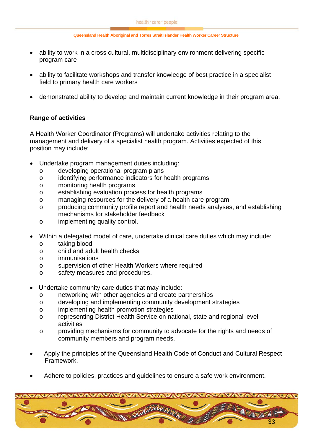- ability to work in a cross cultural, multidisciplinary environment delivering specific program care
- ability to facilitate workshops and transfer knowledge of best practice in a specialist field to primary health care workers
- demonstrated ability to develop and maintain current knowledge in their program area.

### **Range of activities**

A Health Worker Coordinator (Programs) will undertake activities relating to the management and delivery of a specialist health program. Activities expected of this position may include:

- Undertake program management duties including:
	- o developing operational program plans
	- o identifying performance indicators for health programs
	- o monitoring health programs
	- o establishing evaluation process for health programs
	- o managing resources for the delivery of a health care program
	- o producing community profile report and health needs analyses, and establishing mechanisms for stakeholder feedback
	- o implementing quality control.
- Within a delegated model of care, undertake clinical care duties which may include:
	- o taking blood
	- o child and adult health checks
	- o immunisations
	- o supervision of other Health Workers where required
	- o safety measures and procedures.
- Undertake community care duties that may include:
	- o networking with other agencies and create partnerships
	- o developing and implementing community development strategies
	- o implementing health promotion strategies
	- o representing District Health Service on national, state and regional level activities
	- o providing mechanisms for community to advocate for the rights and needs of community members and program needs.
- Apply the principles of the Queensland Health Code of Conduct and Cultural Respect Framework.
- Adhere to policies, practices and guidelines to ensure a safe work environment.

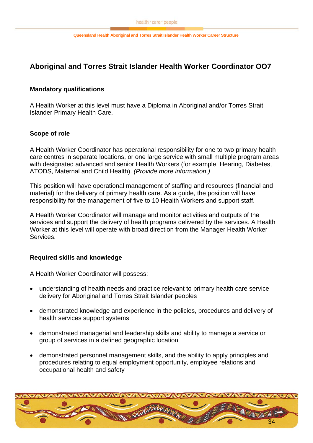## <span id="page-33-0"></span>**Aboriginal and Torres Strait Islander Health Worker Coordinator OO7**

### **Mandatory qualifications**

A Health Worker at this level must have a Diploma in Aboriginal and/or Torres Strait Islander Primary Health Care.

### **Scope of role**

A Health Worker Coordinator has operational responsibility for one to two primary health care centres in separate locations, or one large service with small multiple program areas with designated advanced and senior Health Workers (for example. Hearing, Diabetes, ATODS, Maternal and Child Health). *(Provide more information.)*

This position will have operational management of staffing and resources (financial and material) for the delivery of primary health care. As a guide, the position will have responsibility for the management of five to 10 Health Workers and support staff.

A Health Worker Coordinator will manage and monitor activities and outputs of the services and support the delivery of health programs delivered by the services. A Health Worker at this level will operate with broad direction from the Manager Health Worker **Services** 

### **Required skills and knowledge**

A Health Worker Coordinator will possess:

- understanding of health needs and practice relevant to primary health care service delivery for Aboriginal and Torres Strait Islander peoples
- demonstrated knowledge and experience in the policies, procedures and delivery of health services support systems
- demonstrated managerial and leadership skills and ability to manage a service or group of services in a defined geographic location
- demonstrated personnel management skills, and the ability to apply principles and procedures relating to equal employment opportunity, employee relations and occupational health and safety

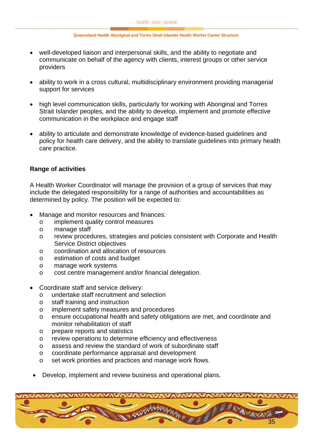- well-developed liaison and interpersonal skills, and the ability to negotiate and communicate on behalf of the agency with clients, interest groups or other service providers
- ability to work in a cross cultural, multidisciplinary environment providing managerial support for services
- high level communication skills, particularly for working with Aboriginal and Torres Strait Islander peoples, and the ability to develop, implement and promote effective communication in the workplace and engage staff
- ability to articulate and demonstrate knowledge of evidence-based guidelines and policy for health care delivery, and the ability to translate guidelines into primary health care practice.

#### **Range of activities**

A Health Worker Coordinator will manage the provision of a group of services that may include the delegated responsibility for a range of authorities and accountabilities as determined by policy. The position will be expected to:

- Manage and monitor resources and finances:
	- o implement quality control measures
	- o manage staff
	- o review procedures, strategies and policies consistent with Corporate and Health Service District objectives
	- o coordination and allocation of resources
	- o estimation of costs and budget
	- o manage work systems
	- o cost centre management and/or financial delegation.
- Coordinate staff and service delivery:
	- o undertake staff recruitment and selection
	- o staff training and instruction
	- o implement safety measures and procedures
	- o ensure occupational health and safety obligations are met, and coordinate and monitor rehabilitation of staff
	- o prepare reports and statistics
	- o review operations to determine efficiency and effectiveness
	- o assess and review the standard of work of subordinate staff
	- o coordinate performance appraisal and development
	- o set work priorities and practices and manage work flows.
	- Develop, implement and review business and operational plans.

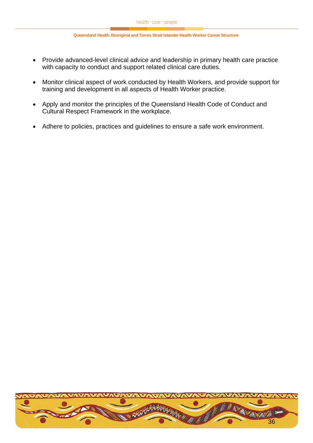- Provide advanced-level clinical advice and leadership in primary health care practice with capacity to conduct and support related clinical care duties.
- Monitor clinical aspect of work conducted by Health Workers, and provide support for training and development in all aspects of Health Worker practice.
- Apply and monitor the principles of the Queensland Health Code of Conduct and Cultural Respect Framework in the workplace.
- Adhere to policies, practices and guidelines to ensure a safe work environment.

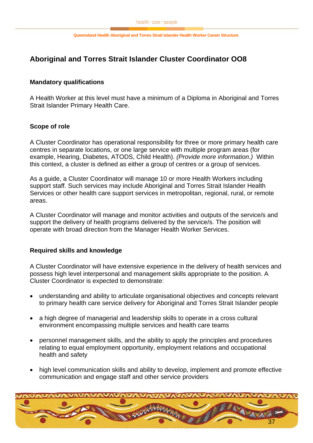## <span id="page-36-0"></span>**Aboriginal and Torres Strait Islander Cluster Coordinator OO8**

### **Mandatory qualifications**

A Health Worker at this level must have a minimum of a Diploma in Aboriginal and Torres Strait Islander Primary Health Care.

### **Scope of role**

A Cluster Coordinator has operational responsibility for three or more primary health care centres in separate locations, or one large service with multiple program areas (for example, Hearing, Diabetes, ATODS, Child Health). *(Provide more information.)* Within this context, a cluster is defined as either a group of centres or a group of services.

As a guide, a Cluster Coordinator will manage 10 or more Health Workers including support staff. Such services may include Aboriginal and Torres Strait Islander Health Services or other health care support services in metropolitan, regional, rural, or remote areas.

A Cluster Coordinator will manage and monitor activities and outputs of the service/s and support the delivery of health programs delivered by the service/s. The position will operate with broad direction from the Manager Health Worker Services.

### **Required skills and knowledge**

A Cluster Coordinator will have extensive experience in the delivery of health services and possess high level interpersonal and management skills appropriate to the position. A Cluster Coordinator is expected to demonstrate:

- understanding and ability to articulate organisational objectives and concepts relevant to primary health care service delivery for Aboriginal and Torres Strait Islander people
- a high degree of managerial and leadership skills to operate in a cross cultural environment encompassing multiple services and health care teams
- personnel management skills, and the ability to apply the principles and procedures relating to equal employment opportunity, employment relations and occupational health and safety
- high level communication skills and ability to develop, implement and promote effective communication and engage staff and other service providers

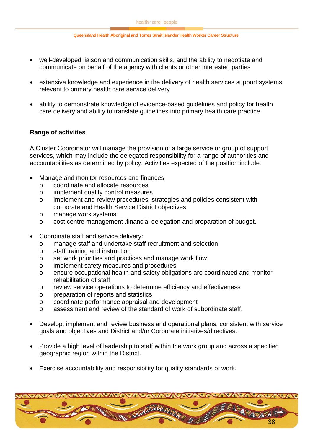- well-developed liaison and communication skills, and the ability to negotiate and communicate on behalf of the agency with clients or other interested parties
- extensive knowledge and experience in the delivery of health services support systems relevant to primary health care service delivery
- ability to demonstrate knowledge of evidence-based guidelines and policy for health care delivery and ability to translate guidelines into primary health care practice.

### **Range of activities**

A Cluster Coordinator will manage the provision of a large service or group of support services, which may include the delegated responsibility for a range of authorities and accountabilities as determined by policy. Activities expected of the position include:

- Manage and monitor resources and finances:
	- o coordinate and allocate resources
	- o implement quality control measures
	- o implement and review procedures, strategies and policies consistent with corporate and Health Service District objectives
	- o manage work systems
	- o cost centre management ,financial delegation and preparation of budget.
- Coordinate staff and service delivery:
	- o manage staff and undertake staff recruitment and selection
	- o staff training and instruction
	- o set work priorities and practices and manage work flow
	- o implement safety measures and procedures
	- o ensure occupational health and safety obligations are coordinated and monitor rehabilitation of staff
	- o review service operations to determine efficiency and effectiveness
	- o preparation of reports and statistics
	- o coordinate performance appraisal and development
	- o assessment and review of the standard of work of subordinate staff.
- Develop, implement and review business and operational plans, consistent with service goals and objectives and District and/or Corporate initiatives/directives.
- Provide a high level of leadership to staff within the work group and across a specified geographic region within the District.
- Exercise accountability and responsibility for quality standards of work.

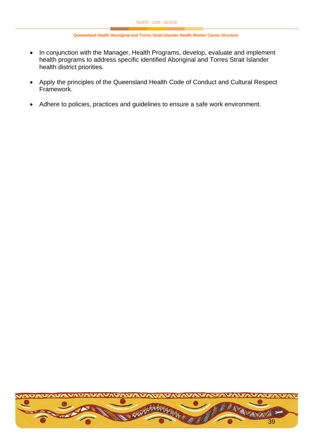- In conjunction with the Manager, Health Programs, develop, evaluate and implement health programs to address specific identified Aboriginal and Torres Strait Islander health district priorities.
- Apply the principles of the Queensland Health Code of Conduct and Cultural Respect Framework.
- Adhere to policies, practices and guidelines to ensure a safe work environment.

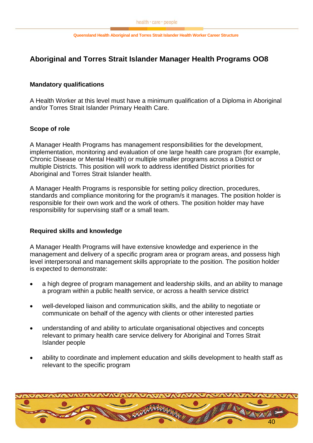## <span id="page-39-0"></span>**Aboriginal and Torres Strait Islander Manager Health Programs OO8**

### **Mandatory qualifications**

A Health Worker at this level must have a minimum qualification of a Diploma in Aboriginal and/or Torres Strait Islander Primary Health Care.

### **Scope of role**

A Manager Health Programs has management responsibilities for the development, implementation, monitoring and evaluation of one large health care program (for example, Chronic Disease or Mental Health) or multiple smaller programs across a District or multiple Districts. This position will work to address identified District priorities for Aboriginal and Torres Strait Islander health.

A Manager Health Programs is responsible for setting policy direction, procedures, standards and compliance monitoring for the program/s it manages. The position holder is responsible for their own work and the work of others. The position holder may have responsibility for supervising staff or a small team.

### **Required skills and knowledge**

A Manager Health Programs will have extensive knowledge and experience in the management and delivery of a specific program area or program areas, and possess high level interpersonal and management skills appropriate to the position. The position holder is expected to demonstrate:

- a high degree of program management and leadership skills, and an ability to manage a program within a public health service, or across a health service district
- well-developed liaison and communication skills, and the ability to negotiate or communicate on behalf of the agency with clients or other interested parties
- understanding of and ability to articulate organisational objectives and concepts relevant to primary health care service delivery for Aboriginal and Torres Strait Islander people
- ability to coordinate and implement education and skills development to health staff as relevant to the specific program

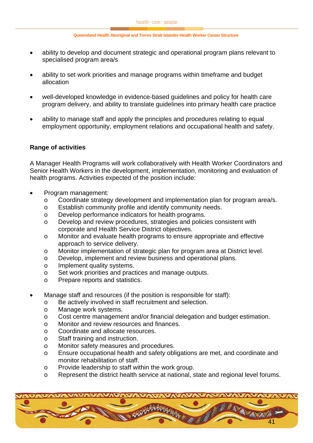- ability to develop and document strategic and operational program plans relevant to specialised program area/s
- ability to set work priorities and manage programs within timeframe and budget allocation
- well-developed knowledge in evidence-based guidelines and policy for health care program delivery, and ability to translate guidelines into primary health care practice
- ability to manage staff and apply the principles and procedures relating to equal employment opportunity, employment relations and occupational health and safety.

### **Range of activities**

A Manager Health Programs will work collaboratively with Health Worker Coordinators and Senior Health Workers in the development, implementation, monitoring and evaluation of health programs. Activities expected of the position include:

- Program management:
	- o Coordinate strategy development and implementation plan for program area/s.
	- o Establish community profile and identify community needs.
	- o Develop performance indicators for health programs.
	- o Develop and review procedures, strategies and policies consistent with corporate and Health Service District objectives.
	- o Monitor and evaluate health programs to ensure appropriate and effective approach to service delivery.
	- o Monitor implementation of strategic plan for program area at District level.
	- o Develop, implement and review business and operational plans.
	- o Implement quality systems.
	- o Set work priorities and practices and manage outputs.
	- o Prepare reports and statistics.
- Manage staff and resources (if the position is responsible for staff):
	- o Be actively involved in staff recruitment and selection.
	- o Manage work systems.
	- o Cost centre management and/or financial delegation and budget estimation.
	- o Monitor and review resources and finances.
	- o Coordinate and allocate resources.
	- o Staff training and instruction.
	- o Monitor safety measures and procedures.
	- o Ensure occupational health and safety obligations are met, and coordinate and monitor rehabilitation of staff.
	- o Provide leadership to staff within the work group.
	- o Represent the district health service at national, state and regional level forums.

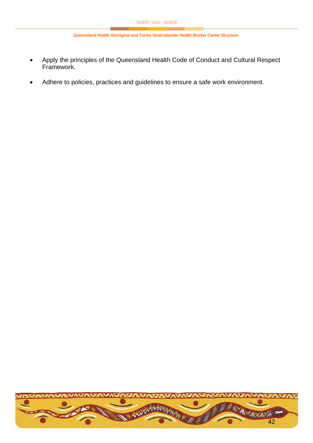- Apply the principles of the Queensland Health Code of Conduct and Cultural Respect Framework.
- Adhere to policies, practices and guidelines to ensure a safe work environment.

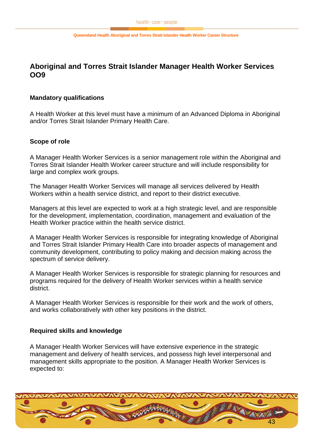## <span id="page-42-0"></span>**Aboriginal and Torres Strait Islander Manager Health Worker Services OO9**

### **Mandatory qualifications**

A Health Worker at this level must have a minimum of an Advanced Diploma in Aboriginal and/or Torres Strait Islander Primary Health Care.

#### **Scope of role**

A Manager Health Worker Services is a senior management role within the Aboriginal and Torres Strait Islander Health Worker career structure and will include responsibility for large and complex work groups.

The Manager Health Worker Services will manage all services delivered by Health Workers within a health service district, and report to their district executive.

Managers at this level are expected to work at a high strategic level, and are responsible for the development, implementation, coordination, management and evaluation of the Health Worker practice within the health service district.

A Manager Health Worker Services is responsible for integrating knowledge of Aboriginal and Torres Strait Islander Primary Health Care into broader aspects of management and community development, contributing to policy making and decision making across the spectrum of service delivery.

A Manager Health Worker Services is responsible for strategic planning for resources and programs required for the delivery of Health Worker services within a health service district.

A Manager Health Worker Services is responsible for their work and the work of others, and works collaboratively with other key positions in the district.

#### **Required skills and knowledge**

A Manager Health Worker Services will have extensive experience in the strategic management and delivery of health services, and possess high level interpersonal and management skills appropriate to the position. A Manager Health Worker Services is expected to:

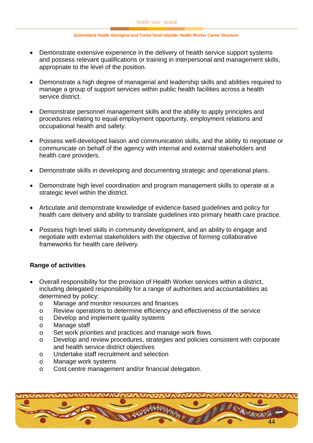- Demonstrate extensive experience in the delivery of health service support systems and possess relevant qualifications or training in interpersonal and management skills, appropriate to the level of the position.
- Demonstrate a high degree of managerial and leadership skills and abilities required to manage a group of support services within public health facilities across a health service district.
- Demonstrate personnel management skills and the ability to apply principles and procedures relating to equal employment opportunity, employment relations and occupational health and safety.
- Possess well-developed liaison and communication skills, and the ability to negotiate or communicate on behalf of the agency with internal and external stakeholders and health care providers.
- Demonstrate skills in developing and documenting strategic and operational plans.
- Demonstrate high level coordination and program management skills to operate at a strategic level within the district.
- Articulate and demonstrate knowledge of evidence-based guidelines and policy for health care delivery and ability to translate guidelines into primary health care practice.
- Possess high level skills in community development, and an ability to engage and negotiate with external stakeholders with the objective of forming collaborative frameworks for health care delivery.

### **Range of activities**

- Overall responsibility for the provision of Health Worker services within a district, including delegated responsibility for a range of authorities and accountabilities as determined by policy:
	- o Manage and monitor resources and finances
	- o Review operations to determine efficiency and effectiveness of the service
	- o Develop and implement quality systems
	- o Manage staff
	- o Set work priorities and practices and manage work flows
	- o Develop and review procedures, strategies and policies consistent with corporate and health service district objectives
	- o Undertake staff recruitment and selection
	- o Manage work systems
	- o Cost centre management and/or financial delegation.

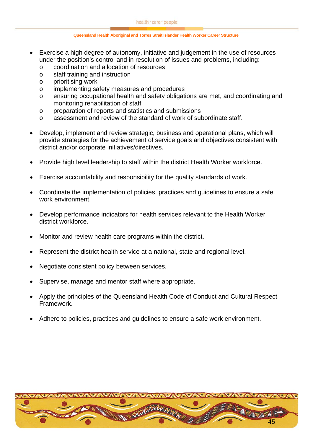- Exercise a high degree of autonomy, initiative and judgement in the use of resources under the position's control and in resolution of issues and problems, including:
	- o coordination and allocation of resources
	- o staff training and instruction
	- o prioritising work
	- o implementing safety measures and procedures
	- o ensuring occupational health and safety obligations are met, and coordinating and monitoring rehabilitation of staff
	- o preparation of reports and statistics and submissions
	- $\circ$  assessment and review of the standard of work of subordinate staff.
- Develop, implement and review strategic, business and operational plans, which will provide strategies for the achievement of service goals and objectives consistent with district and/or corporate initiatives/directives.
- Provide high level leadership to staff within the district Health Worker workforce.
- Exercise accountability and responsibility for the quality standards of work.
- Coordinate the implementation of policies, practices and guidelines to ensure a safe work environment.
- Develop performance indicators for health services relevant to the Health Worker district workforce.
- Monitor and review health care programs within the district.
- Represent the district health service at a national, state and regional level.
- Negotiate consistent policy between services.
- Supervise, manage and mentor staff where appropriate.
- Apply the principles of the Queensland Health Code of Conduct and Cultural Respect Framework.
- Adhere to policies, practices and guidelines to ensure a safe work environment.

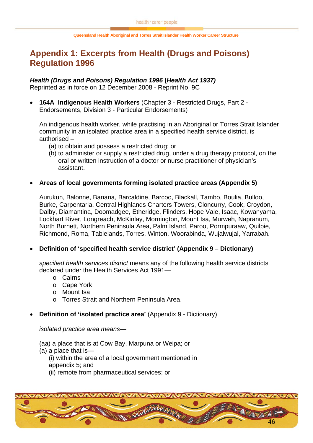# <span id="page-45-0"></span>**Appendix 1: Excerpts from Health (Drugs and Poisons) Regulation 1996**

### *Health (Drugs and Poisons) Regulation 1996* **(***Health Act 1937)*

Reprinted as in force on 12 December 2008 - Reprint No. 9C

• **164A Indigenous Health Workers** (Chapter 3 - Restricted Drugs, Part 2 - Endorsements, Division 3 - Particular Endorsements)

An indigenous health worker, while practising in an Aboriginal or Torres Strait Islander community in an isolated practice area in a specified health service district, is authorised –

- (a) to obtain and possess a restricted drug; or
- (b) to administer or supply a restricted drug, under a drug therapy protocol, on the oral or written instruction of a doctor or nurse practitioner of physician's assistant.

### • **Areas of local governments forming isolated practice areas (Appendix 5)**

Aurukun, Balonne, Banana, Barcaldine, Barcoo, Blackall, Tambo, Boulia, Bulloo, Burke, Carpentaria, Central Highlands Charters Towers, Cloncurry, Cook, Croydon, Dalby, Diamantina, Doomadgee, Etheridge, Flinders, Hope Vale, Isaac, Kowanyama, Lockhart River, Longreach, McKinlay, Mornington, Mount Isa, Murweh, Napranum, North Burnett, Northern Peninsula Area, Palm Island, Paroo, Pormpuraaw, Quilpie, Richmond, Roma, Tablelands, Torres, Winton, Woorabinda, Wujalwujal, Yarrabah.

### • **Definition of 'specified health service district' (Appendix 9 – Dictionary)**

*specified health services district* means any of the following health service districts declared under the Health Services Act 1991—

- o Cairns
- o Cape York
- o Mount Isa
- o Torres Strait and Northern Peninsula Area.
- **Definition of 'isolated practice area' (Appendix 9 Dictionary)**

*isolated practice area means—*

- (aa) a place that is at Cow Bay, Marpuna or Weipa; or
- (a) a place that is—
	- (i) within the area of a local government mentioned in appendix 5; and
	- (ii) remote from pharmaceutical services; or

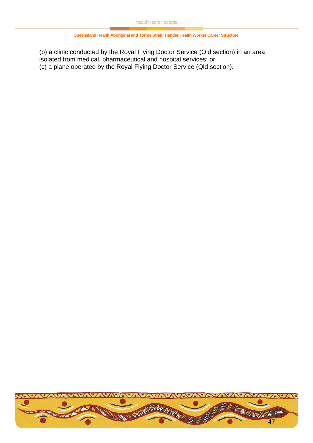(b) a clinic conducted by the Royal Flying Doctor Service (Qld section) in an area isolated from medical, pharmaceutical and hospital services; or (c) a plane operated by the Royal Flying Doctor Service (Qld section).

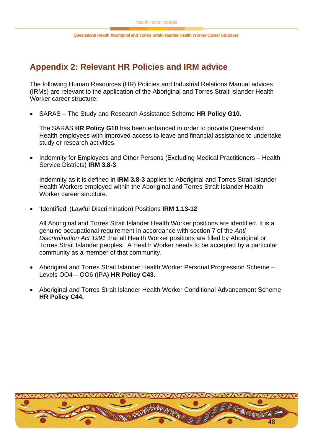# <span id="page-47-0"></span>**Appendix 2: Relevant HR Policies and IRM advice**

The following Human Resources (HR) Policies and Industrial Relations Manual advices (IRMs) are relevant to the application of the Aboriginal and Torres Strait Islander Health Worker career structure:

• SARAS – The Study and Research Assistance Scheme **HR Policy G10.**

The SARAS **HR Policy G10** has been enhanced in order to provide Queensland Health employees with improved access to leave and financial assistance to undertake study or research activities.

• Indemnity for Employees and Other Persons (Excluding Medical Practitioners – Health Service Districts) **IRM 3.8-3**.

Indemnity as it is defined in **IRM 3.8-3** applies to Aboriginal and Torres Strait Islander Health Workers employed within the Aboriginal and Torres Strait Islander Health Worker career structure.

• 'Identified' (Lawful Discrimination) Positions **IRM 1.13-12**

All Aboriginal and Torres Strait Islander Health Worker positions are identified. It is a genuine occupational requirement in accordance with section 7 of the *Anti-Discrimination Act 1991* that all Health Worker positions are filled by Aboriginal or Torres Strait Islander peoples*.* A Health Worker needs to be accepted by a particular community as a member of that community.

- Aboriginal and Torres Strait Islander Health Worker Personal Progression Scheme Levels OO4 – OO6 (IPA) **HR Policy C43.**
- Aboriginal and Torres Strait Islander Health Worker Conditional Advancement Scheme **HR Policy C44.**

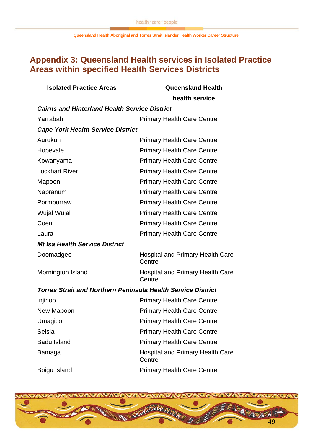# <span id="page-48-0"></span>**Appendix 3: Queensland Health services in Isolated Practice Areas within specified Health Services Districts**

| <b>Isolated Practice Areas</b>                                      | <b>Queensland Health</b>                          |  |  |  |
|---------------------------------------------------------------------|---------------------------------------------------|--|--|--|
|                                                                     | health service                                    |  |  |  |
| <b>Cairns and Hinterland Health Service District</b>                |                                                   |  |  |  |
| Yarrabah                                                            | <b>Primary Health Care Centre</b>                 |  |  |  |
| <b>Cape York Health Service District</b>                            |                                                   |  |  |  |
| Aurukun                                                             | <b>Primary Health Care Centre</b>                 |  |  |  |
| Hopevale                                                            | <b>Primary Health Care Centre</b>                 |  |  |  |
| Kowanyama                                                           | <b>Primary Health Care Centre</b>                 |  |  |  |
| <b>Lockhart River</b>                                               | <b>Primary Health Care Centre</b>                 |  |  |  |
| Mapoon                                                              | <b>Primary Health Care Centre</b>                 |  |  |  |
| Napranum                                                            | <b>Primary Health Care Centre</b>                 |  |  |  |
| Pormpurraw                                                          | <b>Primary Health Care Centre</b>                 |  |  |  |
| <b>Wujal Wujal</b>                                                  | <b>Primary Health Care Centre</b>                 |  |  |  |
| Coen                                                                | <b>Primary Health Care Centre</b>                 |  |  |  |
| Laura                                                               | <b>Primary Health Care Centre</b>                 |  |  |  |
| <b>Mt Isa Health Service District</b>                               |                                                   |  |  |  |
| Doomadgee                                                           | <b>Hospital and Primary Health Care</b><br>Centre |  |  |  |
| Mornington Island                                                   | <b>Hospital and Primary Health Care</b><br>Centre |  |  |  |
| <b>Torres Strait and Northern Peninsula Health Service District</b> |                                                   |  |  |  |
| Injinoo                                                             | <b>Primary Health Care Centre</b>                 |  |  |  |
| New Mapoon                                                          | <b>Primary Health Care Centre</b>                 |  |  |  |
| Umagico                                                             | <b>Primary Health Care Centre</b>                 |  |  |  |
| Seisia                                                              | <b>Primary Health Care Centre</b>                 |  |  |  |
| <b>Badu Island</b>                                                  | <b>Primary Health Care Centre</b>                 |  |  |  |
| Bamaga                                                              | <b>Hospital and Primary Health Care</b><br>Centre |  |  |  |
| Boigu Island                                                        | <b>Primary Health Care Centre</b>                 |  |  |  |